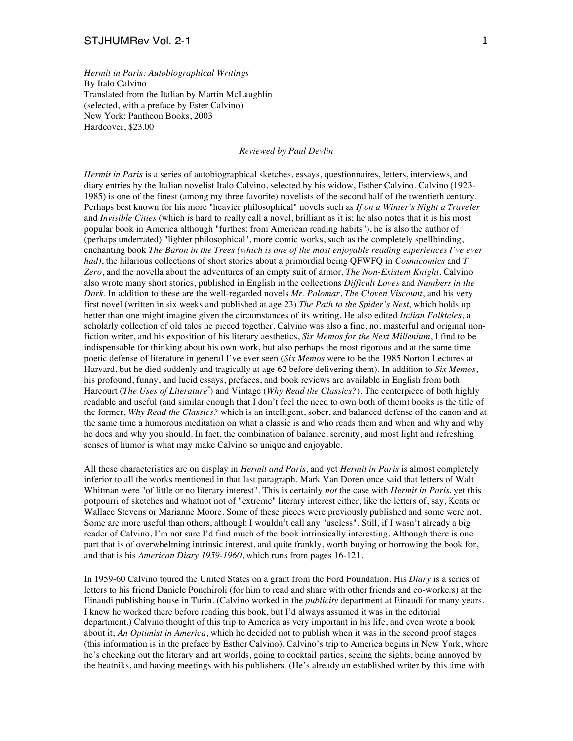*Hermit in Paris: Autobiographical Writings* By Italo Calvino Translated from the Italian by Martin McLaughlin (selected, with a preface by Ester Calvino) New York: Pantheon Books, 2003 Hardcover, \$23.00

## *Reviewed by Paul Devlin*

*Hermit in Paris* is a series of autobiographical sketches, essays, questionnaires, letters, interviews, and diary entries by the Italian novelist Italo Calvino, selected by his widow, Esther Calvino. Calvino (1923- 1985) is one of the finest (among my three favorite) novelists of the second half of the twentieth century. Perhaps best known for his more "heavier philosophical" novels such as *If on a Winter's Night a Traveler* and *Invisible Cities* (which is hard to really call a novel, brilliant as it is; he also notes that it is his most popular book in America although "furthest from American reading habits"), he is also the author of (perhaps underrated) "lighter philosophical", more comic works, such as the completely spellbinding, enchanting book *The Baron in the Trees (which is one of the most enjoyable reading experiences I've ever had)*, the hilarious collections of short stories about a primordial being QFWFQ in *Cosmicomics* and *T Zero*, and the novella about the adventures of an empty suit of armor, *The Non-Existent Knight*. Calvino also wrote many short stories, published in English in the collections *Difficult Loves* and *Numbers in the Dark*. In addition to these are the well-regarded novels *Mr. Palomar*, *The Cloven Viscount*, and his very first novel (written in six weeks and published at age 23) *The Path to the Spider's Nest*, which holds up better than one might imagine given the circumstances of its writing. He also edited *Italian Folktales*, a scholarly collection of old tales he pieced together. Calvino was also a fine, no, masterful and original nonfiction writer, and his exposition of his literary aesthetics, *Six Memos for the Next Millenium*, I find to be indispensable for thinking about his own work, but also perhaps the most rigorous and at the same time poetic defense of literature in general I've ever seen (*Six Memos* were to be the 1985 Norton Lectures at Harvard, but he died suddenly and tragically at age 62 before delivering them). In addition to *Six Memos*, his profound, funny, and lucid essays, prefaces, and book reviews are available in English from both Harcourt (*The Uses of Literature\** ) and Vintage (*Why Read the Classics?*). The centerpiece of both highly readable and useful (and similar enough that I don't feel the need to own both of them) books is the title of the former, *Why Read the Classics?* which is an intelligent, sober, and balanced defense of the canon and at the same time a humorous meditation on what a classic is and who reads them and when and why and why he does and why you should. In fact, the combination of balance, serenity, and most light and refreshing senses of humor is what may make Calvino so unique and enjoyable.

All these characteristics are on display in *Hermit and Paris*, and yet *Hermit in Paris* is almost completely inferior to all the works mentioned in that last paragraph. Mark Van Doren once said that letters of Walt Whitman were "of little or no literary interest". This is certainly *not* the case with *Hermit in Paris*, yet this potpourri of sketches and whatnot not of "extreme" literary interest either, like the letters of, say, Keats or Wallace Stevens or Marianne Moore. Some of these pieces were previously published and some were not. Some are more useful than others, although I wouldn't call any "useless". Still, if I wasn't already a big reader of Calvino, I'm not sure I'd find much of the book intrinsically interesting. Although there is one part that is of overwhelming intrinsic interest, and quite frankly, worth buying or borrowing the book for, and that is his *American Diary 1959-1960*, which runs from pages 16-121.

In 1959-60 Calvino toured the United States on a grant from the Ford Foundation. His *Diary* is a series of letters to his friend Daniele Ponchiroli (for him to read and share with other friends and co-workers) at the Einaudi publishing house in Turin. (Calvino worked in the *publicity* department at Einaudi for many years. I knew he worked there before reading this book, but I'd always assumed it was in the editorial department.) Calvino thought of this trip to America as very important in his life, and even wrote a book about it; *An Optimist in America*, which he decided not to publish when it was in the second proof stages (this information is in the preface by Esther Calvino). Calvino's trip to America begins in New York, where he's checking out the literary and art worlds, going to cocktail parties, seeing the sights, being annoyed by the beatniks, and having meetings with his publishers. (He's already an established writer by this time with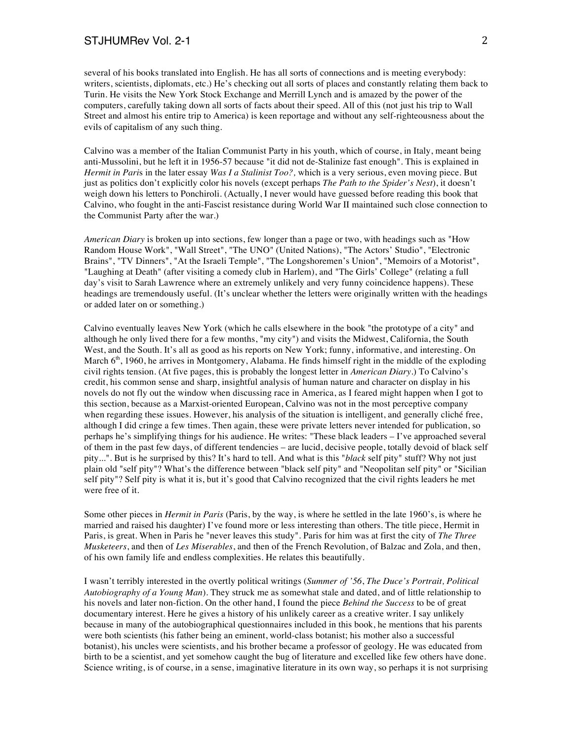## STJHUMRev Vol. 2-1 2

several of his books translated into English. He has all sorts of connections and is meeting everybody: writers, scientists, diplomats, etc.) He's checking out all sorts of places and constantly relating them back to Turin. He visits the New York Stock Exchange and Merrill Lynch and is amazed by the power of the computers, carefully taking down all sorts of facts about their speed. All of this (not just his trip to Wall Street and almost his entire trip to America) is keen reportage and without any self-righteousness about the evils of capitalism of any such thing.

Calvino was a member of the Italian Communist Party in his youth, which of course, in Italy, meant being anti-Mussolini, but he left it in 1956-57 because "it did not de-Stalinize fast enough". This is explained in *Hermit in Pari*s in the later essay *Was I a Stalinist Too?,* which is a very serious, even moving piece. But just as politics don't explicitly color his novels (except perhaps *The Path to the Spider's Nest*), it doesn't weigh down his letters to Ponchiroli. (Actually, I never would have guessed before reading this book that Calvino, who fought in the anti-Fascist resistance during World War II maintained such close connection to the Communist Party after the war.)

*American Diary* is broken up into sections, few longer than a page or two, with headings such as "How Random House Work", "Wall Street", "The UNO" (United Nations), "The Actors' Studio", "Electronic Brains", "TV Dinners", "At the Israeli Temple", "The Longshoremen's Union", "Memoirs of a Motorist", "Laughing at Death" (after visiting a comedy club in Harlem), and "The Girls' College" (relating a full day's visit to Sarah Lawrence where an extremely unlikely and very funny coincidence happens). These headings are tremendously useful. (It's unclear whether the letters were originally written with the headings or added later on or something.)

Calvino eventually leaves New York (which he calls elsewhere in the book "the prototype of a city" and although he only lived there for a few months, "my city") and visits the Midwest, California, the South West, and the South. It's all as good as his reports on New York; funny, informative, and interesting. On March  $6<sup>th</sup>$ , 1960, he arrives in Montgomery, Alabama. He finds himself right in the middle of the exploding civil rights tension. (At five pages, this is probably the longest letter in *American Diary*.) To Calvino's credit, his common sense and sharp, insightful analysis of human nature and character on display in his novels do not fly out the window when discussing race in America, as I feared might happen when I got to this section, because as a Marxist-oriented European, Calvino was not in the most perceptive company when regarding these issues. However, his analysis of the situation is intelligent, and generally cliché free, although I did cringe a few times. Then again, these were private letters never intended for publication, so perhaps he's simplifying things for his audience. He writes: "These black leaders – I've approached several of them in the past few days, of different tendencies – are lucid, decisive people, totally devoid of black self pity...". But is he surprised by this? It's hard to tell. And what is this "*black* self pity" stuff? Why not just plain old "self pity"? What's the difference between "black self pity" and "Neopolitan self pity" or "Sicilian self pity"? Self pity is what it is, but it's good that Calvino recognized that the civil rights leaders he met were free of it.

Some other pieces in *Hermit in Paris* (Paris, by the way, is where he settled in the late 1960's, is where he married and raised his daughter) I've found more or less interesting than others. The title piece, Hermit in Paris, is great. When in Paris he "never leaves this study". Paris for him was at first the city of *The Three Musketeers*, and then of *Les Miserables*, and then of the French Revolution, of Balzac and Zola, and then, of his own family life and endless complexities. He relates this beautifully.

I wasn't terribly interested in the overtly political writings (*Summer of '56*, *The Duce's Portrait, Political Autobiography of a Young Man*). They struck me as somewhat stale and dated, and of little relationship to his novels and later non-fiction. On the other hand, I found the piece *Behind the Success* to be of great documentary interest. Here he gives a history of his unlikely career as a creative writer. I say unlikely because in many of the autobiographical questionnaires included in this book, he mentions that his parents were both scientists (his father being an eminent, world-class botanist; his mother also a successful botanist), his uncles were scientists, and his brother became a professor of geology. He was educated from birth to be a scientist, and yet somehow caught the bug of literature and excelled like few others have done. Science writing, is of course, in a sense, imaginative literature in its own way, so perhaps it is not surprising